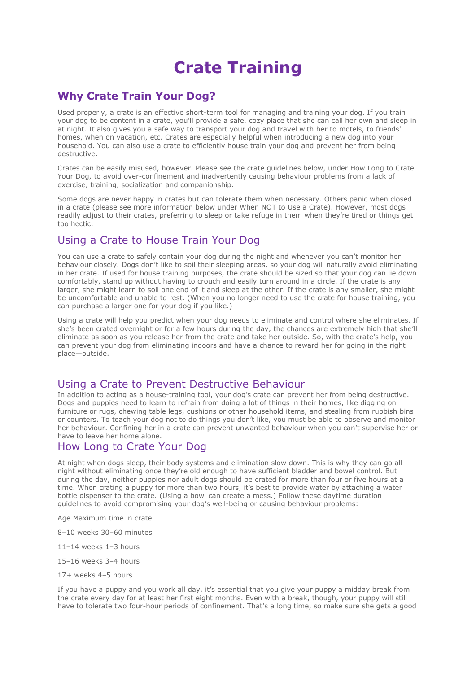# **Crate Training**

# **Why Crate Train Your Dog?**

Used properly, a crate is an effective short-term tool for managing and training your dog. If you train your dog to be content in a crate, you'll provide a safe, cozy place that she can call her own and sleep in at night. It also gives you a safe way to transport your dog and travel with her to motels, to friends' homes, when on vacation, etc. Crates are especially helpful when introducing a new dog into your household. You can also use a crate to efficiently house train your dog and prevent her from being destructive.

Crates can be easily misused, however. Please see the crate guidelines below, under How Long to Crate Your Dog, to avoid over-confinement and inadvertently causing behaviour problems from a lack of exercise, training, socialization and companionship.

Some dogs are never happy in crates but can tolerate them when necessary. Others panic when closed in a crate (please see more information below under When NOT to Use a Crate). However, most dogs readily adjust to their crates, preferring to sleep or take refuge in them when they're tired or things get too hectic.

# Using a Crate to House Train Your Dog

You can use a crate to safely contain your dog during the night and whenever you can't monitor her behaviour closely. Dogs don't like to soil their sleeping areas, so your dog will naturally avoid eliminating in her crate. If used for house training purposes, the crate should be sized so that your dog can lie down comfortably, stand up without having to crouch and easily turn around in a circle. If the crate is any larger, she might learn to soil one end of it and sleep at the other. If the crate is any smaller, she might be uncomfortable and unable to rest. (When you no longer need to use the crate for house training, you can purchase a larger one for your dog if you like.)

Using a crate will help you predict when your dog needs to eliminate and control where she eliminates. If she's been crated overnight or for a few hours during the day, the chances are extremely high that she'll eliminate as soon as you release her from the crate and take her outside. So, with the crate's help, you can prevent your dog from eliminating indoors and have a chance to reward her for going in the right place—outside.

# Using a Crate to Prevent Destructive Behaviour

In addition to acting as a house-training tool, your dog's crate can prevent her from being destructive. Dogs and puppies need to learn to refrain from doing a lot of things in their homes, like digging on furniture or rugs, chewing table legs, cushions or other household items, and stealing from rubbish bins or counters. To teach your dog not to do things you don't like, you must be able to observe and monitor her behaviour. Confining her in a crate can prevent unwanted behaviour when you can't supervise her or have to leave her home alone.

# How Long to Crate Your Dog

At night when dogs sleep, their body systems and elimination slow down. This is why they can go all night without eliminating once they're old enough to have sufficient bladder and bowel control. But during the day, neither puppies nor adult dogs should be crated for more than four or five hours at a time. When crating a puppy for more than two hours, it's best to provide water by attaching a water bottle dispenser to the crate. (Using a bowl can create a mess.) Follow these daytime duration guidelines to avoid compromising your dog's well-being or causing behaviour problems:

Age Maximum time in crate

8–10 weeks 30–60 minutes

11–14 weeks 1–3 hours

- 15–16 weeks 3–4 hours
- 17+ weeks 4–5 hours

If you have a puppy and you work all day, it's essential that you give your puppy a midday break from the crate every day for at least her first eight months. Even with a break, though, your puppy will still have to tolerate two four-hour periods of confinement. That's a long time, so make sure she gets a good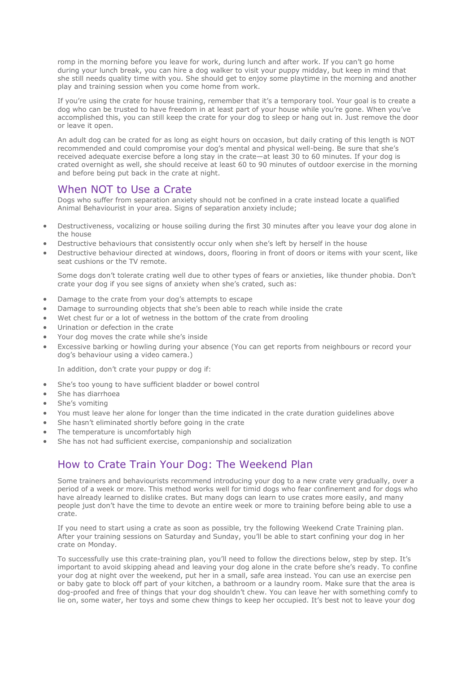romp in the morning before you leave for work, during lunch and after work. If you can't go home during your lunch break, you can hire a dog walker to visit your puppy midday, but keep in mind that she still needs quality time with you. She should get to enjoy some playtime in the morning and another play and training session when you come home from work.

If you're using the crate for house training, remember that it's a temporary tool. Your goal is to create a dog who can be trusted to have freedom in at least part of your house while you're gone. When you've accomplished this, you can still keep the crate for your dog to sleep or hang out in. Just remove the door or leave it open.

An adult dog can be crated for as long as eight hours on occasion, but daily crating of this length is NOT recommended and could compromise your dog's mental and physical well-being. Be sure that she's received adequate exercise before a long stay in the crate—at least 30 to 60 minutes. If your dog is crated overnight as well, she should receive at least 60 to 90 minutes of outdoor exercise in the morning and before being put back in the crate at night.

## When NOT to Use a Crate

Dogs who suffer from separation anxiety should not be confined in a crate instead locate a qualified Animal Behaviourist in your area. Signs of separation anxiety include;

- Destructiveness, vocalizing or house soiling during the first 30 minutes after you leave your dog alone in the house
- Destructive behaviours that consistently occur only when she's left by herself in the house
- Destructive behaviour directed at windows, doors, flooring in front of doors or items with your scent, like seat cushions or the TV remote.

Some dogs don't tolerate crating well due to other types of fears or anxieties, like thunder phobia. Don't crate your dog if you see signs of anxiety when she's crated, such as:

- Damage to the crate from your dog's attempts to escape
- Damage to surrounding objects that she's been able to reach while inside the crate
- Wet chest fur or a lot of wetness in the bottom of the crate from drooling
- Urination or defection in the crate
- Your dog moves the crate while she's inside
- Excessive barking or howling during your absence (You can get reports from neighbours or record your dog's behaviour using a video camera.)

In addition, don't crate your puppy or dog if:

- She's too young to have sufficient bladder or bowel control
- She has diarrhoea
- She's vomiting
- You must leave her alone for longer than the time indicated in the crate duration guidelines above
- She hasn't eliminated shortly before going in the crate
- The temperature is uncomfortably high
- She has not had sufficient exercise, companionship and socialization

# How to Crate Train Your Dog: The Weekend Plan

Some trainers and behaviourists recommend introducing your dog to a new crate very gradually, over a period of a week or more. This method works well for timid dogs who fear confinement and for dogs who have already learned to dislike crates. But many dogs can learn to use crates more easily, and many people just don't have the time to devote an entire week or more to training before being able to use a crate.

If you need to start using a crate as soon as possible, try the following Weekend Crate Training plan. After your training sessions on Saturday and Sunday, you'll be able to start confining your dog in her crate on Monday.

To successfully use this crate-training plan, you'll need to follow the directions below, step by step. It's important to avoid skipping ahead and leaving your dog alone in the crate before she's ready. To confine your dog at night over the weekend, put her in a small, safe area instead. You can use an exercise pen or baby gate to block off part of your kitchen, a bathroom or a laundry room. Make sure that the area is dog-proofed and free of things that your dog shouldn't chew. You can leave her with something comfy to lie on, some water, her toys and some chew things to keep her occupied. It's best not to leave your dog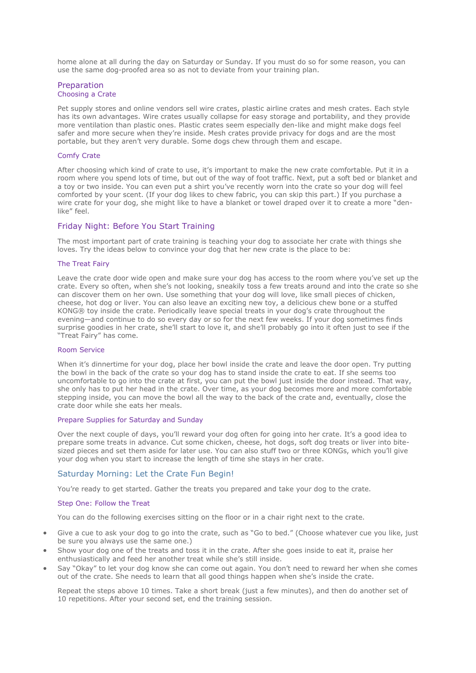home alone at all during the day on Saturday or Sunday. If you must do so for some reason, you can use the same dog-proofed area so as not to deviate from your training plan.

#### Preparation Choosing a Crate

Pet supply stores and online vendors sell wire crates, plastic airline crates and mesh crates. Each style has its own advantages. Wire crates usually collapse for easy storage and portability, and they provide more ventilation than plastic ones. Plastic crates seem especially den-like and might make dogs feel safer and more secure when they're inside. Mesh crates provide privacy for dogs and are the most portable, but they aren't very durable. Some dogs chew through them and escape.

### Comfy Crate

After choosing which kind of crate to use, it's important to make the new crate comfortable. Put it in a room where you spend lots of time, but out of the way of foot traffic. Next, put a soft bed or blanket and a toy or two inside. You can even put a shirt you've recently worn into the crate so your dog will feel comforted by your scent. (If your dog likes to chew fabric, you can skip this part.) If you purchase a wire crate for your dog, she might like to have a blanket or towel draped over it to create a more "denlike" feel.

### Friday Night: Before You Start Training

The most important part of crate training is teaching your dog to associate her crate with things she loves. Try the ideas below to convince your dog that her new crate is the place to be:

#### The Treat Fairy

Leave the crate door wide open and make sure your dog has access to the room where you've set up the crate. Every so often, when she's not looking, sneakily toss a few treats around and into the crate so she can discover them on her own. Use something that your dog will love, like small pieces of chicken, cheese, hot dog or liver. You can also leave an exciting new toy, a delicious chew bone or a stuffed KONG® toy inside the crate. Periodically leave special treats in your dog's crate throughout the evening—and continue to do so every day or so for the next few weeks. If your dog sometimes finds surprise goodies in her crate, she'll start to love it, and she'll probably go into it often just to see if the "Treat Fairy" has come.

#### Room Service

When it's dinnertime for your dog, place her bowl inside the crate and leave the door open. Try putting the bowl in the back of the crate so your dog has to stand inside the crate to eat. If she seems too uncomfortable to go into the crate at first, you can put the bowl just inside the door instead. That way, she only has to put her head in the crate. Over time, as your dog becomes more and more comfortable stepping inside, you can move the bowl all the way to the back of the crate and, eventually, close the crate door while she eats her meals.

#### Prepare Supplies for Saturday and Sunday

Over the next couple of days, you'll reward your dog often for going into her crate. It's a good idea to prepare some treats in advance. Cut some chicken, cheese, hot dogs, soft dog treats or liver into bitesized pieces and set them aside for later use. You can also stuff two or three KONGs, which you'll give your dog when you start to increase the length of time she stays in her crate.

### Saturday Morning: Let the Crate Fun Begin!

You're ready to get started. Gather the treats you prepared and take your dog to the crate.

#### Step One: Follow the Treat

You can do the following exercises sitting on the floor or in a chair right next to the crate.

- Give a cue to ask your dog to go into the crate, such as "Go to bed." (Choose whatever cue you like, just be sure you always use the same one.)
- Show your dog one of the treats and toss it in the crate. After she goes inside to eat it, praise her enthusiastically and feed her another treat while she's still inside.
- Say "Okay" to let your dog know she can come out again. You don't need to reward her when she comes out of the crate. She needs to learn that all good things happen when she's inside the crate.

Repeat the steps above 10 times. Take a short break (just a few minutes), and then do another set of 10 repetitions. After your second set, end the training session.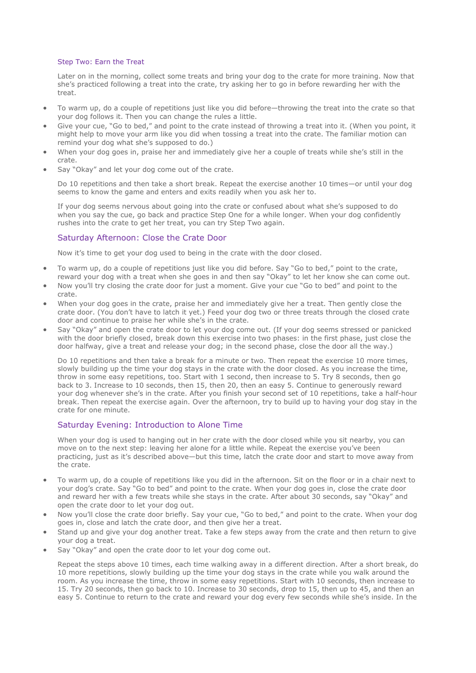#### Step Two: Earn the Treat

Later on in the morning, collect some treats and bring your dog to the crate for more training. Now that she's practiced following a treat into the crate, try asking her to go in before rewarding her with the treat.

- To warm up, do a couple of repetitions just like you did before—throwing the treat into the crate so that your dog follows it. Then you can change the rules a little.
- Give your cue, "Go to bed," and point to the crate instead of throwing a treat into it. (When you point, it might help to move your arm like you did when tossing a treat into the crate. The familiar motion can remind your dog what she's supposed to do.)
- When your dog goes in, praise her and immediately give her a couple of treats while she's still in the crate.
- Say "Okay" and let your dog come out of the crate.

Do 10 repetitions and then take a short break. Repeat the exercise another 10 times—or until your dog seems to know the game and enters and exits readily when you ask her to.

If your dog seems nervous about going into the crate or confused about what she's supposed to do when you say the cue, go back and practice Step One for a while longer. When your dog confidently rushes into the crate to get her treat, you can try Step Two again.

### Saturday Afternoon: Close the Crate Door

Now it's time to get your dog used to being in the crate with the door closed.

- To warm up, do a couple of repetitions just like you did before. Say "Go to bed," point to the crate, reward your dog with a treat when she goes in and then say "Okay" to let her know she can come out.
- Now you'll try closing the crate door for just a moment. Give your cue "Go to bed" and point to the crate.
- When your dog goes in the crate, praise her and immediately give her a treat. Then gently close the crate door. (You don't have to latch it yet.) Feed your dog two or three treats through the closed crate door and continue to praise her while she's in the crate.
- Say "Okay" and open the crate door to let your dog come out. (If your dog seems stressed or panicked with the door briefly closed, break down this exercise into two phases: in the first phase, just close the door halfway, give a treat and release your dog; in the second phase, close the door all the way.)

Do 10 repetitions and then take a break for a minute or two. Then repeat the exercise 10 more times, slowly building up the time your dog stays in the crate with the door closed. As you increase the time, throw in some easy repetitions, too. Start with 1 second, then increase to 5. Try 8 seconds, then go back to 3. Increase to 10 seconds, then 15, then 20, then an easy 5. Continue to generously reward your dog whenever she's in the crate. After you finish your second set of 10 repetitions, take a half-hour break. Then repeat the exercise again. Over the afternoon, try to build up to having your dog stay in the crate for one minute.

### Saturday Evening: Introduction to Alone Time

When your dog is used to hanging out in her crate with the door closed while you sit nearby, you can move on to the next step: leaving her alone for a little while. Repeat the exercise you've been practicing, just as it's described above—but this time, latch the crate door and start to move away from the crate.

- To warm up, do a couple of repetitions like you did in the afternoon. Sit on the floor or in a chair next to your dog's crate. Say "Go to bed" and point to the crate. When your dog goes in, close the crate door and reward her with a few treats while she stays in the crate. After about 30 seconds, say "Okay" and open the crate door to let your dog out.
- Now you'll close the crate door briefly. Say your cue, "Go to bed," and point to the crate. When your dog goes in, close and latch the crate door, and then give her a treat.
- Stand up and give your dog another treat. Take a few steps away from the crate and then return to give your dog a treat.
- Say "Okay" and open the crate door to let your dog come out.

Repeat the steps above 10 times, each time walking away in a different direction. After a short break, do 10 more repetitions, slowly building up the time your dog stays in the crate while you walk around the room. As you increase the time, throw in some easy repetitions. Start with 10 seconds, then increase to 15. Try 20 seconds, then go back to 10. Increase to 30 seconds, drop to 15, then up to 45, and then an easy 5. Continue to return to the crate and reward your dog every few seconds while she's inside. In the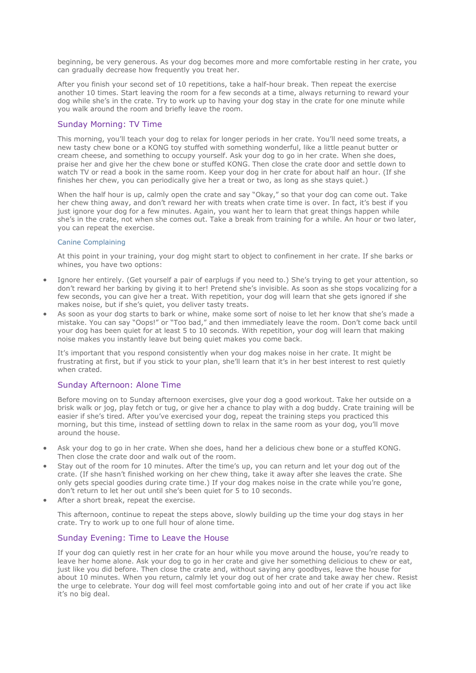beginning, be very generous. As your dog becomes more and more comfortable resting in her crate, you can gradually decrease how frequently you treat her.

After you finish your second set of 10 repetitions, take a half-hour break. Then repeat the exercise another 10 times. Start leaving the room for a few seconds at a time, always returning to reward your dog while she's in the crate. Try to work up to having your dog stay in the crate for one minute while you walk around the room and briefly leave the room.

### Sunday Morning: TV Time

This morning, you'll teach your dog to relax for longer periods in her crate. You'll need some treats, a new tasty chew bone or a KONG toy stuffed with something wonderful, like a little peanut butter or cream cheese, and something to occupy yourself. Ask your dog to go in her crate. When she does, praise her and give her the chew bone or stuffed KONG. Then close the crate door and settle down to watch TV or read a book in the same room. Keep your dog in her crate for about half an hour. (If she finishes her chew, you can periodically give her a treat or two, as long as she stays quiet.)

When the half hour is up, calmly open the crate and say "Okay," so that your dog can come out. Take her chew thing away, and don't reward her with treats when crate time is over. In fact, it's best if you just ignore your dog for a few minutes. Again, you want her to learn that great things happen while she's in the crate, not when she comes out. Take a break from training for a while. An hour or two later, you can repeat the exercise.

#### Canine Complaining

At this point in your training, your dog might start to object to confinement in her crate. If she barks or whines, you have two options:

- Ignore her entirely. (Get yourself a pair of earplugs if you need to.) She's trying to get your attention, so don't reward her barking by giving it to her! Pretend she's invisible. As soon as she stops vocalizing for a few seconds, you can give her a treat. With repetition, your dog will learn that she gets ignored if she makes noise, but if she's quiet, you deliver tasty treats.
- As soon as your dog starts to bark or whine, make some sort of noise to let her know that she's made a mistake. You can say "Oops!" or "Too bad," and then immediately leave the room. Don't come back until your dog has been quiet for at least 5 to 10 seconds. With repetition, your dog will learn that making noise makes you instantly leave but being quiet makes you come back.

It's important that you respond consistently when your dog makes noise in her crate. It might be frustrating at first, but if you stick to your plan, she'll learn that it's in her best interest to rest quietly when crated.

## Sunday Afternoon: Alone Time

Before moving on to Sunday afternoon exercises, give your dog a good workout. Take her outside on a brisk walk or jog, play fetch or tug, or give her a chance to play with a dog buddy. Crate training will be easier if she's tired. After you've exercised your dog, repeat the training steps you practiced this morning, but this time, instead of settling down to relax in the same room as your dog, you'll move around the house.

- Ask your dog to go in her crate. When she does, hand her a delicious chew bone or a stuffed KONG. Then close the crate door and walk out of the room.
- Stay out of the room for 10 minutes. After the time's up, you can return and let your dog out of the crate. (If she hasn't finished working on her chew thing, take it away after she leaves the crate. She only gets special goodies during crate time.) If your dog makes noise in the crate while you're gone, don't return to let her out until she's been quiet for 5 to 10 seconds.
- After a short break, repeat the exercise.

This afternoon, continue to repeat the steps above, slowly building up the time your dog stays in her crate. Try to work up to one full hour of alone time.

### Sunday Evening: Time to Leave the House

If your dog can quietly rest in her crate for an hour while you move around the house, you're ready to leave her home alone. Ask your dog to go in her crate and give her something delicious to chew or eat, just like you did before. Then close the crate and, without saying any goodbyes, leave the house for about 10 minutes. When you return, calmly let your dog out of her crate and take away her chew. Resist the urge to celebrate. Your dog will feel most comfortable going into and out of her crate if you act like it's no big deal.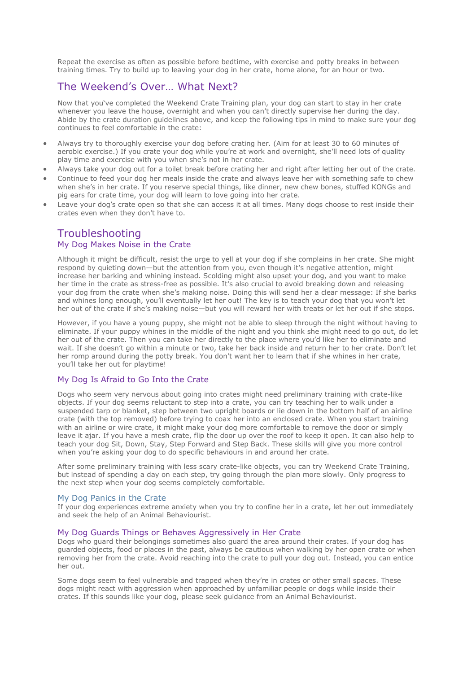Repeat the exercise as often as possible before bedtime, with exercise and potty breaks in between training times. Try to build up to leaving your dog in her crate, home alone, for an hour or two.

# The Weekend's Over… What Next?

Now that you've completed the Weekend Crate Training plan, your dog can start to stay in her crate whenever you leave the house, overnight and when you can't directly supervise her during the day. Abide by the crate duration guidelines above, and keep the following tips in mind to make sure your dog continues to feel comfortable in the crate:

- Always try to thoroughly exercise your dog before crating her. (Aim for at least 30 to 60 minutes of aerobic exercise.) If you crate your dog while you're at work and overnight, she'll need lots of quality play time and exercise with you when she's not in her crate.
- Always take your dog out for a toilet break before crating her and right after letting her out of the crate.
- Continue to feed your dog her meals inside the crate and always leave her with something safe to chew when she's in her crate. If you reserve special things, like dinner, new chew bones, stuffed KONGs and pig ears for crate time, your dog will learn to love going into her crate.
- Leave your dog's crate open so that she can access it at all times. Many dogs choose to rest inside their crates even when they don't have to.

# Troubleshooting

### My Dog Makes Noise in the Crate

Although it might be difficult, resist the urge to yell at your dog if she complains in her crate. She might respond by quieting down—but the attention from you, even though it's negative attention, might increase her barking and whining instead. Scolding might also upset your dog, and you want to make her time in the crate as stress-free as possible. It's also crucial to avoid breaking down and releasing your dog from the crate when she's making noise. Doing this will send her a clear message: If she barks and whines long enough, you'll eventually let her out! The key is to teach your dog that you won't let her out of the crate if she's making noise—but you will reward her with treats or let her out if she stops.

However, if you have a young puppy, she might not be able to sleep through the night without having to eliminate. If your puppy whines in the middle of the night and you think she might need to go out, do let her out of the crate. Then you can take her directly to the place where you'd like her to eliminate and wait. If she doesn't go within a minute or two, take her back inside and return her to her crate. Don't let her romp around during the potty break. You don't want her to learn that if she whines in her crate, you'll take her out for playtime!

### My Dog Is Afraid to Go Into the Crate

Dogs who seem very nervous about going into crates might need preliminary training with crate-like objects. If your dog seems reluctant to step into a crate, you can try teaching her to walk under a suspended tarp or blanket, step between two upright boards or lie down in the bottom half of an airline crate (with the top removed) before trying to coax her into an enclosed crate. When you start training with an airline or wire crate, it might make your dog more comfortable to remove the door or simply leave it ajar. If you have a mesh crate, flip the door up over the roof to keep it open. It can also help to teach your dog Sit, Down, Stay, Step Forward and Step Back. These skills will give you more control when you're asking your dog to do specific behaviours in and around her crate.

After some preliminary training with less scary crate-like objects, you can try Weekend Crate Training, but instead of spending a day on each step, try going through the plan more slowly. Only progress to the next step when your dog seems completely comfortable.

#### My Dog Panics in the Crate

If your dog experiences extreme anxiety when you try to confine her in a crate, let her out immediately and seek the help of an Animal Behaviourist.

#### My Dog Guards Things or Behaves Aggressively in Her Crate

Dogs who guard their belongings sometimes also guard the area around their crates. If your dog has guarded objects, food or places in the past, always be cautious when walking by her open crate or when removing her from the crate. Avoid reaching into the crate to pull your dog out. Instead, you can entice her out.

Some dogs seem to feel vulnerable and trapped when they're in crates or other small spaces. These dogs might react with aggression when approached by unfamiliar people or dogs while inside their crates. If this sounds like your dog, please seek guidance from an Animal Behaviourist.